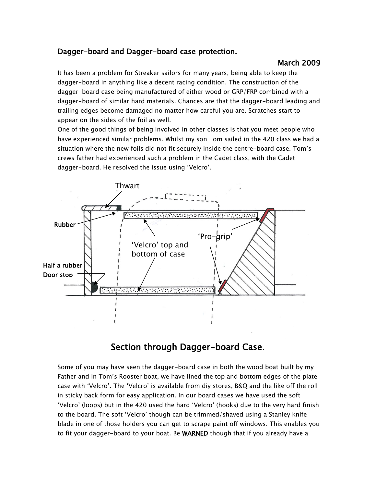## Dagger-board and Dagger-board case protection.

## March 2009

It has been a problem for Streaker sailors for many years, being able to keep the dagger-board in anything like a decent racing condition. The construction of the dagger-board case being manufactured of either wood or GRP/FRP combined with a dagger-board of similar hard materials. Chances are that the dagger-board leading and trailing edges become damaged no matter how careful you are. Scratches start to appear on the sides of the foil as well.

One of the good things of being involved in other classes is that you meet people who have experienced similar problems. Whilst my son Tom sailed in the 420 class we had a situation where the new foils did not fit securely inside the centre-board case. Tom's crews father had experienced such a problem in the Cadet class, with the Cadet dagger-board. He resolved the issue using 'Velcro'.



## Section through Dagger-board Case.

Some of you may have seen the dagger-board case in both the wood boat built by my Father and in Tom's Rooster boat, we have lined the top and bottom edges of the plate case with 'Velcro'. The 'Velcro' is available from diy stores, B&Q and the like off the roll in sticky back form for easy application. In our board cases we have used the soft 'Velcro' (loops) but in the 420 used the hard 'Velcro' (hooks) due to the very hard finish to the board. The soft 'Velcro' though can be trimmed/shaved using a Stanley knife blade in one of those holders you can get to scrape paint off windows. This enables you to fit your dagger-board to your boat. Be WARNED though that if you already have a